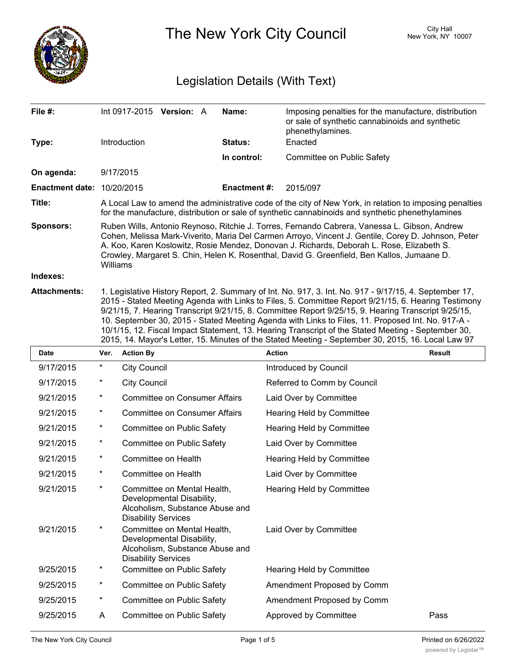

The New York City Council New York, NY 10007

# Legislation Details (With Text)

| File #:                           | Int 0917-2015 <b>Version:</b> A                                                                                                                                                                                                                                                                                                                                                                                                                                                                                                                                                                                                       | Name:              | Imposing penalties for the manufacture, distribution<br>or sale of synthetic cannabinoids and synthetic<br>phenethylamines. |  |  |  |  |
|-----------------------------------|---------------------------------------------------------------------------------------------------------------------------------------------------------------------------------------------------------------------------------------------------------------------------------------------------------------------------------------------------------------------------------------------------------------------------------------------------------------------------------------------------------------------------------------------------------------------------------------------------------------------------------------|--------------------|-----------------------------------------------------------------------------------------------------------------------------|--|--|--|--|
| Type:                             | <b>Introduction</b>                                                                                                                                                                                                                                                                                                                                                                                                                                                                                                                                                                                                                   | Status:            | Enacted                                                                                                                     |  |  |  |  |
|                                   |                                                                                                                                                                                                                                                                                                                                                                                                                                                                                                                                                                                                                                       | In control:        | Committee on Public Safety                                                                                                  |  |  |  |  |
| On agenda:                        | 9/17/2015                                                                                                                                                                                                                                                                                                                                                                                                                                                                                                                                                                                                                             |                    |                                                                                                                             |  |  |  |  |
| <b>Enactment date: 10/20/2015</b> |                                                                                                                                                                                                                                                                                                                                                                                                                                                                                                                                                                                                                                       | <b>Enactment#:</b> | 2015/097                                                                                                                    |  |  |  |  |
| Title:                            | A Local Law to amend the administrative code of the city of New York, in relation to imposing penalties<br>for the manufacture, distribution or sale of synthetic cannabinoids and synthetic phenethylamines                                                                                                                                                                                                                                                                                                                                                                                                                          |                    |                                                                                                                             |  |  |  |  |
| <b>Sponsors:</b>                  | Ruben Wills, Antonio Reynoso, Ritchie J. Torres, Fernando Cabrera, Vanessa L. Gibson, Andrew<br>Cohen, Melissa Mark-Viverito, Maria Del Carmen Arroyo, Vincent J. Gentile, Corey D. Johnson, Peter<br>A. Koo, Karen Koslowitz, Rosie Mendez, Donovan J. Richards, Deborah L. Rose, Elizabeth S.<br>Crowley, Margaret S. Chin, Helen K. Rosenthal, David G. Greenfield, Ben Kallos, Jumaane D.<br>Williams                                                                                                                                                                                                                             |                    |                                                                                                                             |  |  |  |  |
| Indexes:                          |                                                                                                                                                                                                                                                                                                                                                                                                                                                                                                                                                                                                                                       |                    |                                                                                                                             |  |  |  |  |
| <b>Attachments:</b>               | 1. Legislative History Report, 2. Summary of Int. No. 917, 3. Int. No. 917 - 9/17/15, 4. September 17,<br>2015 - Stated Meeting Agenda with Links to Files, 5. Committee Report 9/21/15, 6. Hearing Testimony<br>9/21/15, 7. Hearing Transcript 9/21/15, 8. Committee Report 9/25/15, 9. Hearing Transcript 9/25/15,<br>10. September 30, 2015 - Stated Meeting Agenda with Links to Files, 11. Proposed Int. No. 917-A -<br>10/1/15, 12. Fiscal Impact Statement, 13. Hearing Transcript of the Stated Meeting - September 30,<br>2015, 14. Mayor's Letter, 15. Minutes of the Stated Meeting - September 30, 2015, 16. Local Law 97 |                    |                                                                                                                             |  |  |  |  |

| <b>Date</b> | Ver.     | <b>Action By</b>                                                                                                          | <b>Action</b>               | <b>Result</b> |
|-------------|----------|---------------------------------------------------------------------------------------------------------------------------|-----------------------------|---------------|
| 9/17/2015   | $\star$  | <b>City Council</b>                                                                                                       | Introduced by Council       |               |
| 9/17/2015   | $^\ast$  | <b>City Council</b>                                                                                                       | Referred to Comm by Council |               |
| 9/21/2015   | $^\ast$  | <b>Committee on Consumer Affairs</b>                                                                                      | Laid Over by Committee      |               |
| 9/21/2015   | $\star$  | <b>Committee on Consumer Affairs</b>                                                                                      | Hearing Held by Committee   |               |
| 9/21/2015   | $^\ast$  | Committee on Public Safety                                                                                                | Hearing Held by Committee   |               |
| 9/21/2015   | $\star$  | Committee on Public Safety                                                                                                | Laid Over by Committee      |               |
| 9/21/2015   | $\ast$   | Committee on Health                                                                                                       | Hearing Held by Committee   |               |
| 9/21/2015   | $\star$  | Committee on Health                                                                                                       | Laid Over by Committee      |               |
| 9/21/2015   | $^\star$ | Committee on Mental Health,<br>Developmental Disability,<br>Alcoholism, Substance Abuse and<br><b>Disability Services</b> | Hearing Held by Committee   |               |
| 9/21/2015   | $\ast$   | Committee on Mental Health,<br>Developmental Disability,<br>Alcoholism, Substance Abuse and<br><b>Disability Services</b> | Laid Over by Committee      |               |
| 9/25/2015   | $\star$  | Committee on Public Safety                                                                                                | Hearing Held by Committee   |               |
| 9/25/2015   | $\star$  | Committee on Public Safety                                                                                                | Amendment Proposed by Comm  |               |
| 9/25/2015   | $^\ast$  | Committee on Public Safety                                                                                                | Amendment Proposed by Comm  |               |
| 9/25/2015   | A        | Committee on Public Safety                                                                                                | Approved by Committee       | Pass          |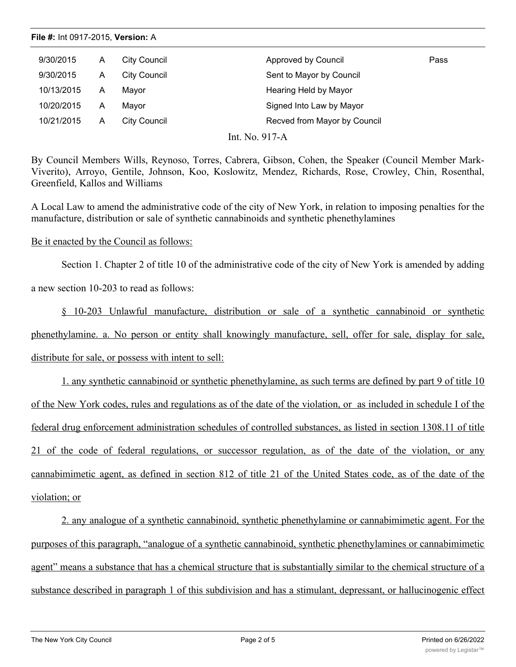## **File #:** Int 0917-2015, **Version:** A

| 9/30/2015  | Α | City Council | Approved by Council          | Pass |
|------------|---|--------------|------------------------------|------|
| 9/30/2015  | Α | City Council | Sent to Mayor by Council     |      |
| 10/13/2015 | A | Mayor        | Hearing Held by Mayor        |      |
| 10/20/2015 | A | Mavor        | Signed Into Law by Mayor     |      |
| 10/21/2015 | Α | City Council | Recved from Mayor by Council |      |

Int. No. 917-A

By Council Members Wills, Reynoso, Torres, Cabrera, Gibson, Cohen, the Speaker (Council Member Mark-Viverito), Arroyo, Gentile, Johnson, Koo, Koslowitz, Mendez, Richards, Rose, Crowley, Chin, Rosenthal, Greenfield, Kallos and Williams

A Local Law to amend the administrative code of the city of New York, in relation to imposing penalties for the manufacture, distribution or sale of synthetic cannabinoids and synthetic phenethylamines

### Be it enacted by the Council as follows:

Section 1. Chapter 2 of title 10 of the administrative code of the city of New York is amended by adding

a new section 10-203 to read as follows:

§ 10-203 Unlawful manufacture, distribution or sale of a synthetic cannabinoid or synthetic phenethylamine. a. No person or entity shall knowingly manufacture, sell, offer for sale, display for sale, distribute for sale, or possess with intent to sell:

1. any synthetic cannabinoid or synthetic phenethylamine, as such terms are defined by part 9 of title 10 of the New York codes, rules and regulations as of the date of the violation, or as included in schedule I of the federal drug enforcement administration schedules of controlled substances, as listed in section 1308.11 of title 21 of the code of federal regulations, or successor regulation, as of the date of the violation, or any cannabimimetic agent, as defined in section 812 of title 21 of the United States code, as of the date of the violation; or

2. any analogue of a synthetic cannabinoid, synthetic phenethylamine or cannabimimetic agent. For the purposes of this paragraph, "analogue of a synthetic cannabinoid, synthetic phenethylamines or cannabimimetic agent" means a substance that has a chemical structure that is substantially similar to the chemical structure of a substance described in paragraph 1 of this subdivision and has a stimulant, depressant, or hallucinogenic effect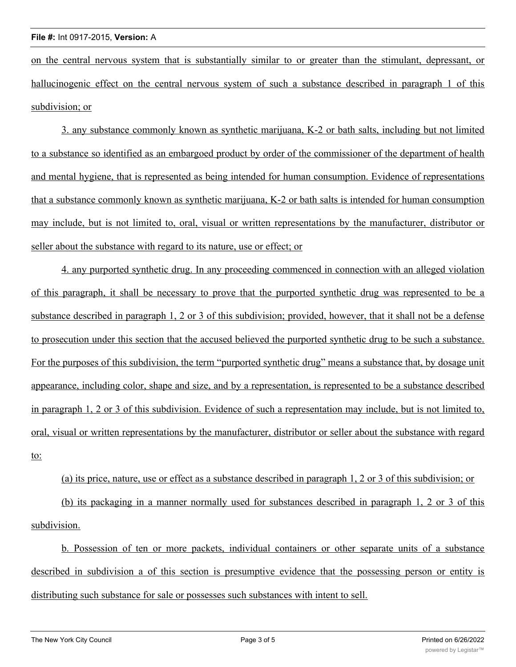on the central nervous system that is substantially similar to or greater than the stimulant, depressant, or hallucinogenic effect on the central nervous system of such a substance described in paragraph 1 of this subdivision; or

3. any substance commonly known as synthetic marijuana, K-2 or bath salts, including but not limited to a substance so identified as an embargoed product by order of the commissioner of the department of health and mental hygiene, that is represented as being intended for human consumption. Evidence of representations that a substance commonly known as synthetic marijuana, K-2 or bath salts is intended for human consumption may include, but is not limited to, oral, visual or written representations by the manufacturer, distributor or seller about the substance with regard to its nature, use or effect; or

4. any purported synthetic drug. In any proceeding commenced in connection with an alleged violation of this paragraph, it shall be necessary to prove that the purported synthetic drug was represented to be a substance described in paragraph 1, 2 or 3 of this subdivision; provided, however, that it shall not be a defense to prosecution under this section that the accused believed the purported synthetic drug to be such a substance. For the purposes of this subdivision, the term "purported synthetic drug" means a substance that, by dosage unit appearance, including color, shape and size, and by a representation, is represented to be a substance described in paragraph 1, 2 or 3 of this subdivision. Evidence of such a representation may include, but is not limited to, oral, visual or written representations by the manufacturer, distributor or seller about the substance with regard to:

## (a) its price, nature, use or effect as a substance described in paragraph 1, 2 or 3 of this subdivision; or

(b) its packaging in a manner normally used for substances described in paragraph 1, 2 or 3 of this subdivision.

b. Possession of ten or more packets, individual containers or other separate units of a substance described in subdivision a of this section is presumptive evidence that the possessing person or entity is distributing such substance for sale or possesses such substances with intent to sell.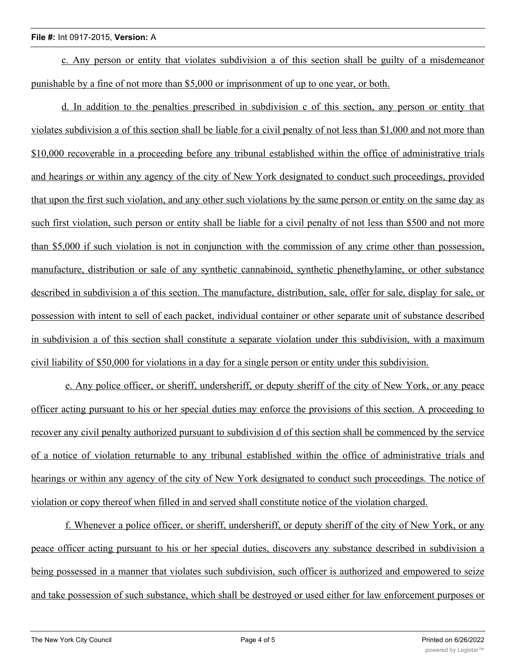## **File #:** Int 0917-2015, **Version:** A

c. Any person or entity that violates subdivision a of this section shall be guilty of a misdemeanor punishable by a fine of not more than \$5,000 or imprisonment of up to one year, or both.

d. In addition to the penalties prescribed in subdivision c of this section, any person or entity that violates subdivision a of this section shall be liable for a civil penalty of not less than \$1,000 and not more than \$10,000 recoverable in a proceeding before any tribunal established within the office of administrative trials and hearings or within any agency of the city of New York designated to conduct such proceedings, provided that upon the first such violation, and any other such violations by the same person or entity on the same day as such first violation, such person or entity shall be liable for a civil penalty of not less than \$500 and not more than \$5,000 if such violation is not in conjunction with the commission of any crime other than possession, manufacture, distribution or sale of any synthetic cannabinoid, synthetic phenethylamine, or other substance described in subdivision a of this section. The manufacture, distribution, sale, offer for sale, display for sale, or possession with intent to sell of each packet, individual container or other separate unit of substance described in subdivision a of this section shall constitute a separate violation under this subdivision, with a maximum civil liability of \$50,000 for violations in a day for a single person or entity under this subdivision.

e. Any police officer, or sheriff, undersheriff, or deputy sheriff of the city of New York, or any peace officer acting pursuant to his or her special duties may enforce the provisions of this section. A proceeding to recover any civil penalty authorized pursuant to subdivision d of this section shall be commenced by the service of a notice of violation returnable to any tribunal established within the office of administrative trials and hearings or within any agency of the city of New York designated to conduct such proceedings. The notice of violation or copy thereof when filled in and served shall constitute notice of the violation charged.

f. Whenever a police officer, or sheriff, undersheriff, or deputy sheriff of the city of New York, or any peace officer acting pursuant to his or her special duties, discovers any substance described in subdivision a being possessed in a manner that violates such subdivision, such officer is authorized and empowered to seize and take possession of such substance, which shall be destroyed or used either for law enforcement purposes or